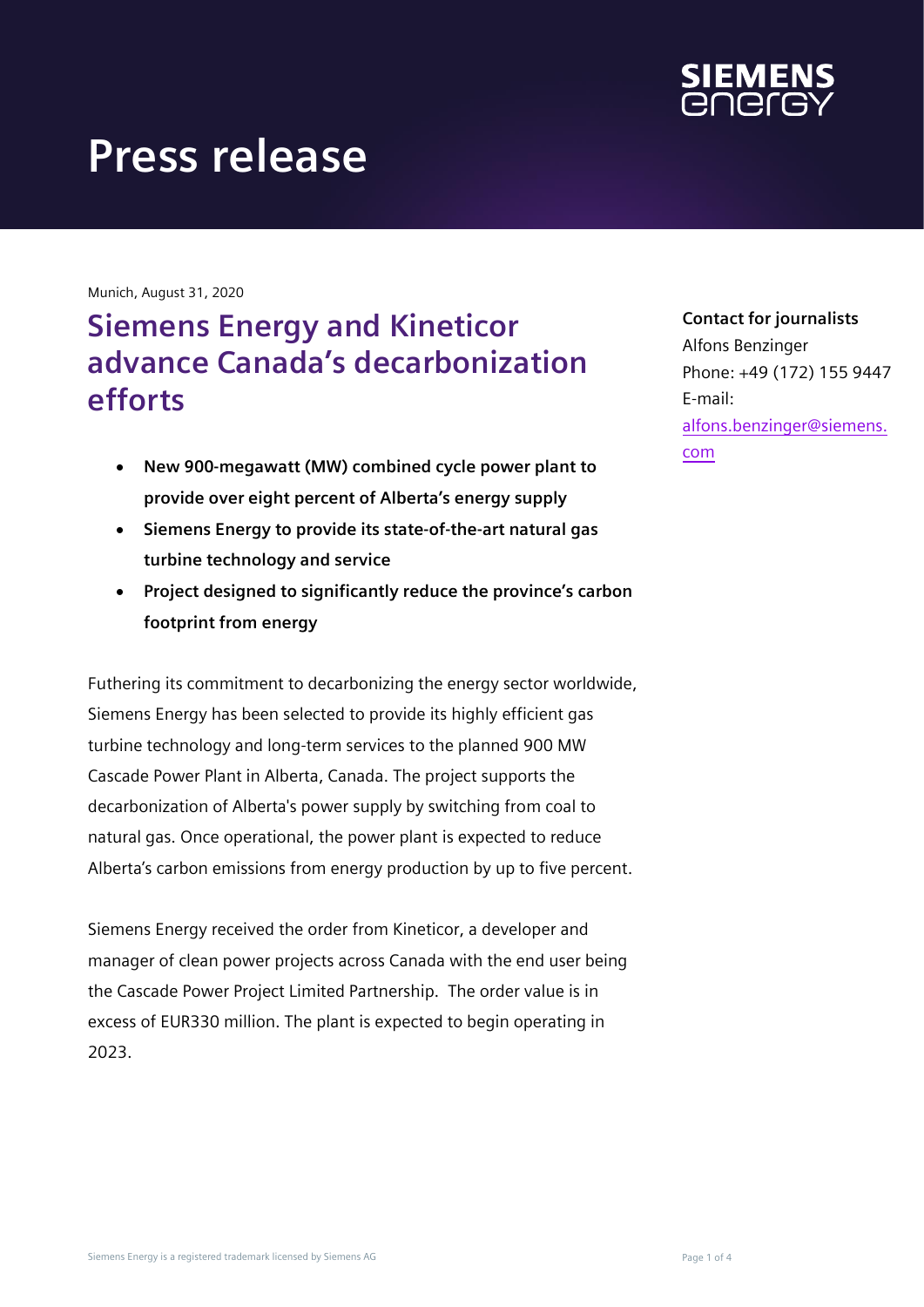

Munich, August 31, 2020

# **Siemens Energy and Kineticor advance Canada's decarbonization efforts**

- **New 900-megawatt (MW) combined cycle power plant to provide over eight percent of Alberta's energy supply**
- **Siemens Energy to provide its state-of-the-art natural gas turbine technology and service**
- **Project designed to significantly reduce the province's carbon footprint from energy**

Futhering its commitment to decarbonizing the energy sector worldwide, Siemens Energy has been selected to provide its highly efficient gas turbine technology and long-term services to the planned 900 MW Cascade Power Plant in Alberta, Canada. The project supports the decarbonization of Alberta's power supply by switching from coal to natural gas. Once operational, the power plant is expected to reduce Alberta's carbon emissions from energy production by up to five percent.

Siemens Energy received the order from Kineticor, a developer and manager of clean power projects across Canada with the end user being the Cascade Power Project Limited Partnership. The order value is in excess of EUR330 million. The plant is expected to begin operating in 2023.

#### **Contact for journalists**

Alfons Benzinger Phone: +49 (172) 155 9447 E-mail: [alfons.benzinger@siemens.](mailto:alfons.benzinger@siemens.com) [com](mailto:alfons.benzinger@siemens.com)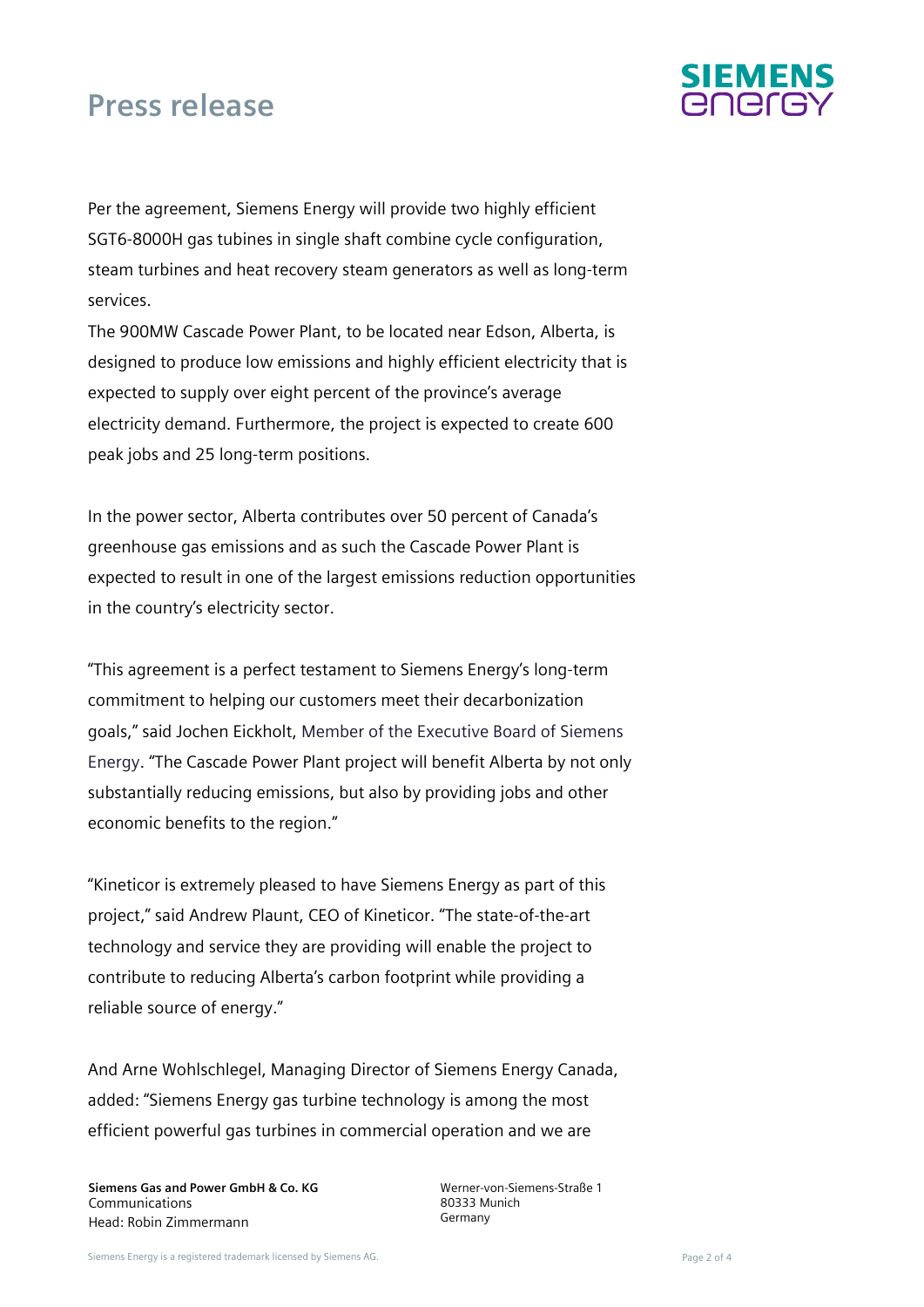

Per the agreement, Siemens Energy will provide two highly efficient SGT6-8000H gas tubines in single shaft combine cycle configuration, steam turbines and heat recovery steam generators as well as long-term services.

The 900MW Cascade Power Plant, to be located near Edson, Alberta, is designed to produce low emissions and highly efficient electricity that is expected to supply over eight percent of the province's average electricity demand. Furthermore, the project is expected to create 600 peak jobs and 25 long-term positions.

In the power sector, Alberta contributes over 50 percent of Canada's greenhouse gas emissions and as such the Cascade Power Plant is expected to result in one of the largest emissions reduction opportunities in the country's electricity sector.

"This agreement is a perfect testament to Siemens Energy's long-term commitment to helping our customers meet their decarbonization goals," said Jochen Eickholt, Member of the Executive Board of Siemens Energy. "The Cascade Power Plant project will benefit Alberta by not only substantially reducing emissions, but also by providing jobs and other economic benefits to the region."

"Kineticor is extremely pleased to have Siemens Energy as part of this project," said Andrew Plaunt, CEO of Kineticor. "The state-of-the-art technology and service they are providing will enable the project to contribute to reducing Alberta's carbon footprint while providing a reliable source of energy."

And Arne Wohlschlegel, Managing Director of Siemens Energy Canada, added: "Siemens Energy gas turbine technology is among the most efficient powerful gas turbines in commercial operation and we are

**Siemens Gas and Power GmbH & Co. KG**  Communications Head: Robin Zimmermann

Werner-von-Siemens-Straße 1 80333 Munich Germany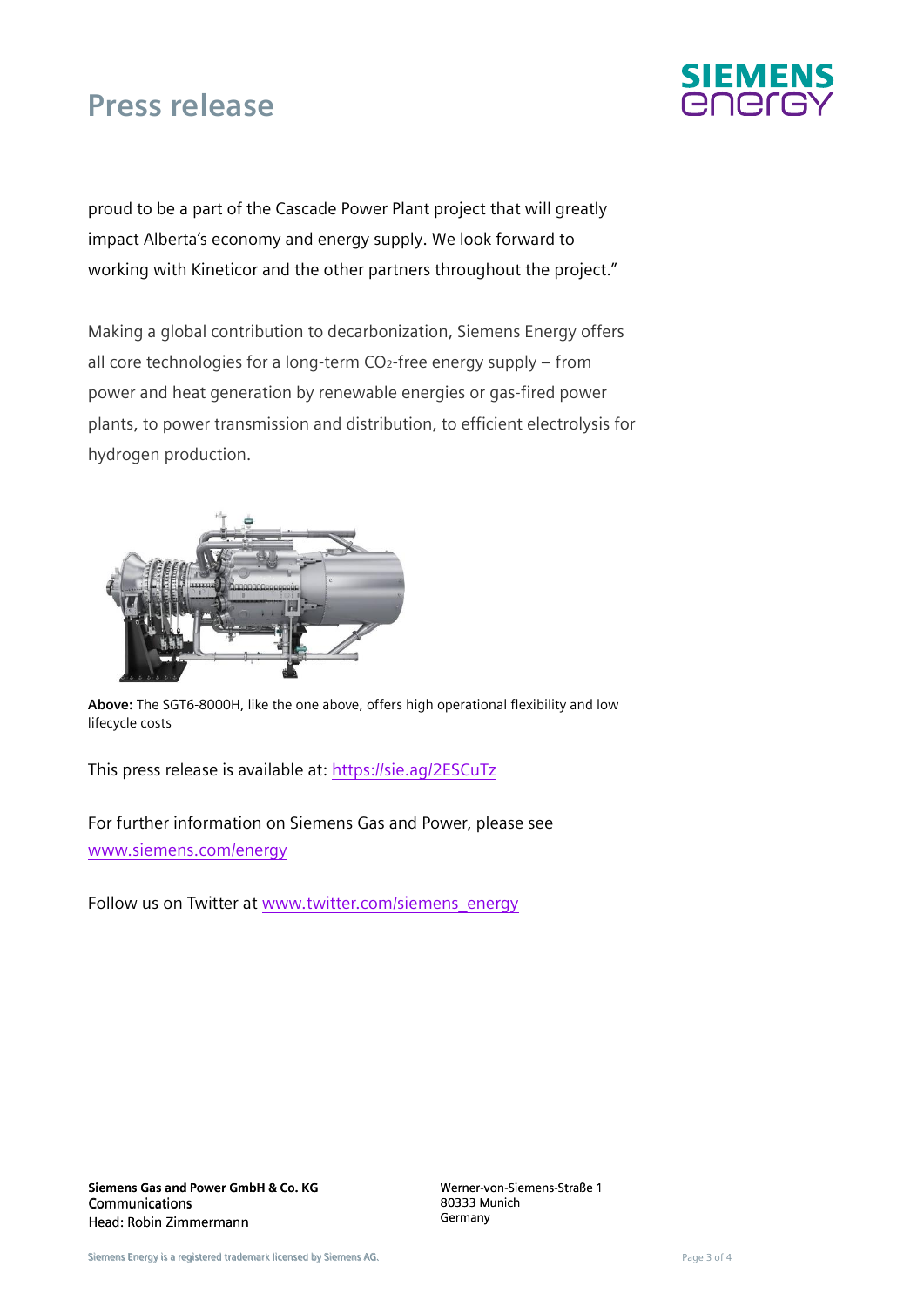

proud to be a part of the Cascade Power Plant project that will greatly impact Alberta's economy and energy supply. We look forward to working with Kineticor and the other partners throughout the project."

Making a global contribution to decarbonization, Siemens Energy offers all core technologies for a long-term CO2-free energy supply – from power and heat generation by renewable energies or gas-fired power plants, to power transmission and distribution, to efficient electrolysis for hydrogen production.



**Above:** The SGT6-8000H, like the one above, offers high operational flexibility and low lifecycle costs

This press release is available at:<https://sie.ag/2ESCuTz>

For further information on Siemens Gas and Power, please see [www.siemens.com/energy](http://www.siemens.com/energy)

Follow us on Twitter at [www.twitter.com/siemens\\_energy](http://www.twitter.com/siemens_energy)

Werner-von-Siemens-Straße 1 80333 Munich **Germany**